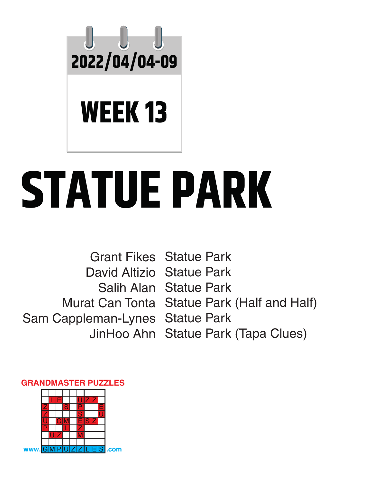

# **WEEK 13**

# **STATUE PARK**

Grant Fikes Statue Park David Altizio Statue Park Salih Alan Statue Park Murat Can Tonta Statue Park (Half and Half) Sam Cappleman-Lynes Statue Park JinHoo Ahn Statue Park (Tapa Clues)

#### **GRANDMASTER PUZZLES**

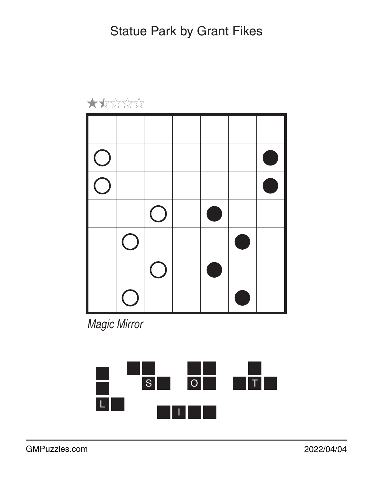

*Magic Mirror*

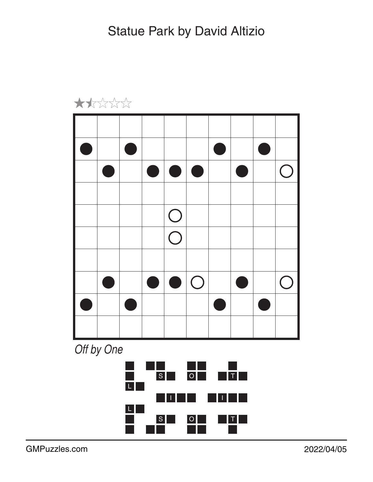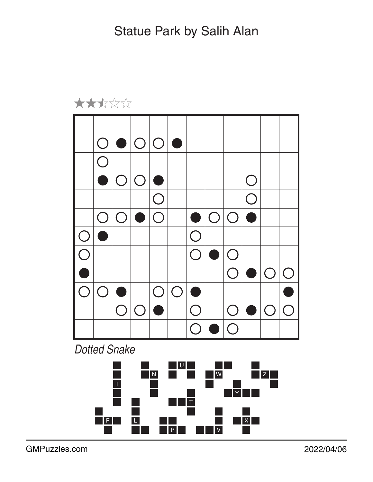

P V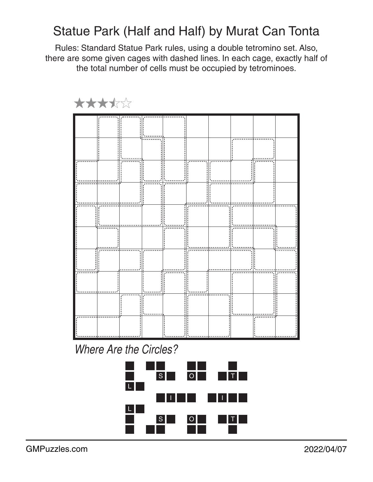## Statue Park (Half and Half) by Murat Can Tonta

Rules: Standard Statue Park rules, using a double tetromino set. Also, there are some given cages with dashed lines. In each cage, exactly half of the total number of cells must be occupied by tetrominoes.



*Where Are the Circles?*

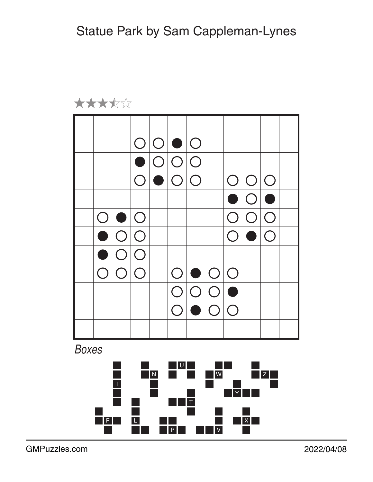



*Boxes*



GMPuzzles.com 2022/04/08